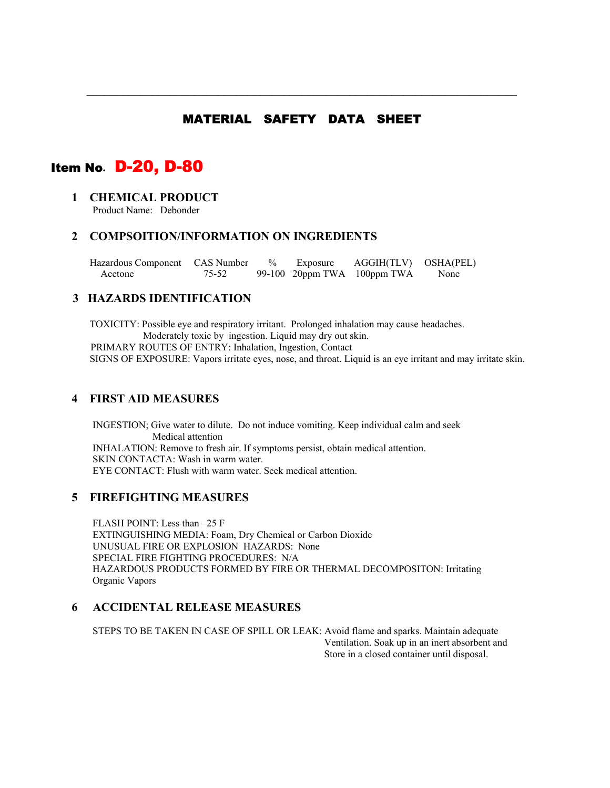## MATERIAL SAFETY DATA SHEET

**\_\_\_\_\_\_\_\_\_\_\_\_\_\_\_\_\_\_\_\_\_\_\_\_\_\_\_\_\_\_\_\_\_\_\_\_\_\_\_\_\_\_\_\_\_\_\_\_\_\_\_\_\_\_\_\_\_\_\_\_\_\_\_\_\_\_\_\_\_\_\_\_** 

# Item No**.** D-20, D-80

## **1 CHEMICAL PRODUCT**

Product Name: Debonder

#### **2 COMPSOITION/INFORMATION ON INGREDIENTS**

| Hazardous Component CAS Number |       |  | % Exposure AGGIH(TLV) OSHA(PEL)   |      |
|--------------------------------|-------|--|-----------------------------------|------|
| Acetone                        | 75-52 |  | 99-100 $20$ ppm TWA $100$ ppm TWA | None |

## **3 HAZARDS IDENTIFICATION**

TOXICITY: Possible eye and respiratory irritant. Prolonged inhalation may cause headaches. Moderately toxic by ingestion. Liquid may dry out skin. PRIMARY ROUTES OF ENTRY: Inhalation, Ingestion, ContactSIGNS OF EXPOSURE: Vapors irritate eyes, nose, and throat. Liquid is an eye irritant and may irritate skin.

#### **4 FIRST AID MEASURES**

INGESTION; Give water to dilute. Do not induce vomiting. Keep individual calm and seek Medical attention INHALATION: Remove to fresh air. If symptoms persist, obtain medical attention. SKIN CONTACTA: Wash in warm water. EYE CONTACT: Flush with warm water. Seek medical attention.

#### **5 FIREFIGHTING MEASURES**

FLASH POINT: Less than –25 F EXTINGUISHING MEDIA: Foam, Dry Chemical or Carbon Dioxide UNUSUAL FIRE OR EXPLOSION HAZARDS: None SPECIAL FIRE FIGHTING PROCEDURES: N/A HAZARDOUS PRODUCTS FORMED BY FIRE OR THERMAL DECOMPOSITON: Irritating Organic Vapors

## **6 ACCIDENTAL RELEASE MEASURES**

STEPS TO BE TAKEN IN CASE OF SPILL OR LEAK: Avoid flame and sparks. Maintain adequate Ventilation. Soak up in an inert absorbent and Store in a closed container until disposal.